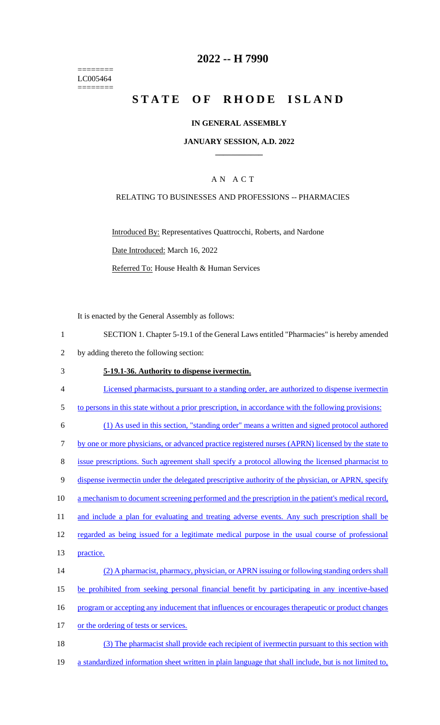======== LC005464 ========

### **2022 -- H 7990**

# **STATE OF RHODE ISLAND**

#### **IN GENERAL ASSEMBLY**

#### **JANUARY SESSION, A.D. 2022 \_\_\_\_\_\_\_\_\_\_\_\_**

#### A N A C T

#### RELATING TO BUSINESSES AND PROFESSIONS -- PHARMACIES

Introduced By: Representatives Quattrocchi, Roberts, and Nardone Date Introduced: March 16, 2022 Referred To: House Health & Human Services

It is enacted by the General Assembly as follows:

| SECTION 1. Chapter 5-19.1 of the General Laws entitled "Pharmacies" is hereby amended |
|---------------------------------------------------------------------------------------|
|                                                                                       |

2 by adding thereto the following section:

#### 3 **5-19.1-36. Authority to dispense ivermectin.**

- 4 Licensed pharmacists, pursuant to a standing order, are authorized to dispense ivermectin
- 5 to persons in this state without a prior prescription, in accordance with the following provisions:

6 (1) As used in this section, "standing order" means a written and signed protocol authored 7 by one or more physicians, or advanced practice registered nurses (APRN) licensed by the state to

8 issue prescriptions. Such agreement shall specify a protocol allowing the licensed pharmacist to

9 dispense ivermectin under the delegated prescriptive authority of the physician, or APRN, specify

10 a mechanism to document screening performed and the prescription in the patient's medical record,

11 and include a plan for evaluating and treating adverse events. Any such prescription shall be

12 regarded as being issued for a legitimate medical purpose in the usual course of professional

13 practice.

14 (2) A pharmacist, pharmacy, physician, or APRN issuing or following standing orders shall 15 be prohibited from seeking personal financial benefit by participating in any incentive-based 16 program or accepting any inducement that influences or encourages therapeutic or product changes 17 or the ordering of tests or services.

18 (3) The pharmacist shall provide each recipient of ivermectin pursuant to this section with

19 a standardized information sheet written in plain language that shall include, but is not limited to,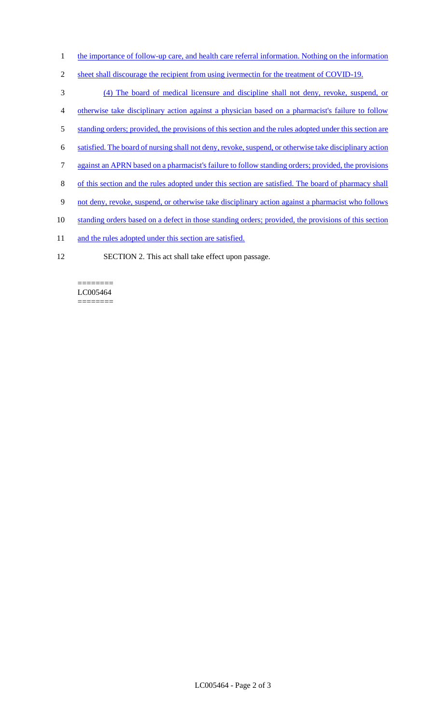- 1 the importance of follow-up care, and health care referral information. Nothing on the information
- 2 sheet shall discourage the recipient from using ivermectin for the treatment of COVID-19.
- 3 (4) The board of medical licensure and discipline shall not deny, revoke, suspend, or
- 4 otherwise take disciplinary action against a physician based on a pharmacist's failure to follow
- 5 standing orders; provided, the provisions of this section and the rules adopted under this section are
- 6 satisfied. The board of nursing shall not deny, revoke, suspend, or otherwise take disciplinary action
- 7 against an APRN based on a pharmacist's failure to follow standing orders; provided, the provisions
- 8 of this section and the rules adopted under this section are satisfied. The board of pharmacy shall
- 9 not deny, revoke, suspend, or otherwise take disciplinary action against a pharmacist who follows
- 10 standing orders based on a defect in those standing orders; provided, the provisions of this section
- 11 and the rules adopted under this section are satisfied.
- 12 SECTION 2. This act shall take effect upon passage.

======== LC005464 ========